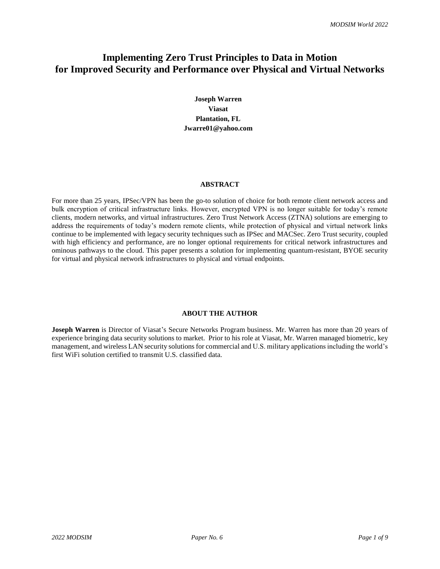# **Implementing Zero Trust Principles to Data in Motion for Improved Security and Performance over Physical and Virtual Networks**

**Joseph Warren Viasat Plantation, FL Jwarre01@yahoo.com**

#### **ABSTRACT**

For more than 25 years, IPSec/VPN has been the go-to solution of choice for both remote client network access and bulk encryption of critical infrastructure links. However, encrypted VPN is no longer suitable for today's remote clients, modern networks, and virtual infrastructures. Zero Trust Network Access (ZTNA) solutions are emerging to address the requirements of today's modern remote clients, while protection of physical and virtual network links continue to be implemented with legacy security techniques such as IPSec and MACSec. Zero Trust security, coupled with high efficiency and performance, are no longer optional requirements for critical network infrastructures and ominous pathways to the cloud. This paper presents a solution for implementing quantum-resistant, BYOE security for virtual and physical network infrastructures to physical and virtual endpoints.

# **ABOUT THE AUTHOR**

**Joseph Warren** is Director of Viasat's Secure Networks Program business. Mr. Warren has more than 20 years of experience bringing data security solutions to market. Prior to his role at Viasat, Mr. Warren managed biometric, key management, and wireless LAN security solutions for commercial and U.S. military applications including the world's first WiFi solution certified to transmit U.S. classified data.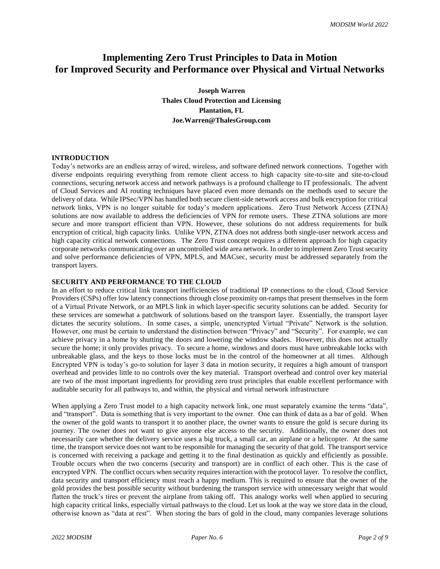# **Implementing Zero Trust Principles to Data in Motion for Improved Security and Performance over Physical and Virtual Networks**

**Joseph Warren Thales Cloud Protection and Licensing Plantation, FL Joe.Warren@ThalesGroup.com**

# **INTRODUCTION**

Today's networks are an endless array of wired, wireless, and software defined network connections. Together with diverse endpoints requiring everything from remote client access to high capacity site-to-site and site-to-cloud connections, securing network access and network pathways is a profound challenge to IT professionals. The advent of Cloud Services and AI routing techniques have placed even more demands on the methods used to secure the delivery of data. While IPSec/VPN has handled both secure client-side network access and bulk encryption for critical network links, VPN is no longer suitable for today's modern applications. Zero Trust Network Access (ZTNA) solutions are now available to address the deficiencies of VPN for remote users. These ZTNA solutions are more secure and more transport efficient than VPN. However, these solutions do not address requirements for bulk encryption of critical, high capacity links. Unlike VPN, ZTNA does not address both single-user network access and high capacity critical network connections. The Zero Trust concept requires a different approach for high capacity corporate networks communicating over an uncontrolled wide area network. In order to implement Zero Trust security and solve performance deficiencies of VPN, MPLS, and MACsec, security must be addressed separately from the transport layers.

## **SECURITY AND PERFORMANCE TO THE CLOUD**

In an effort to reduce critical link transport inefficiencies of traditional IP connections to the cloud, Cloud Service Providers (CSPs) offer low latency connections through close proximity on-ramps that present themselves in the form of a Virtual Private Network, or an MPLS link in which layer-specific security solutions can be added. Security for these services are somewhat a patchwork of solutions based on the transport layer. Essentially, the transport layer dictates the security solutions. In some cases, a simple, unencrypted Virtual "Private" Network is the solution. However, one must be certain to understand the distinction between "Privacy" and "Security". For example, we can achieve privacy in a home by shutting the doors and lowering the window shades. However, this does not actually secure the home; it only provides privacy. To secure a home, windows and doors must have unbreakable locks with unbreakable glass, and the keys to those locks must be in the control of the homeowner at all times. Although Encrypted VPN is today's go-to solution for layer 3 data in motion security, it requires a high amount of transport overhead and provides little to no controls over the key material. Transport overhead and control over key material are two of the most important ingredients for providing zero trust principles that enable excellent performance with auditable security for all pathways to, and within, the physical and virtual network infrastructure

When applying a Zero Trust model to a high capacity network link, one must separately examine the terms "data", and "transport". Data is something that is very important to the owner. One can think of data as a bar of gold. When the owner of the gold wants to transport it to another place, the owner wants to ensure the gold is secure during its journey. The owner does not want to give anyone else access to the security. Additionally, the owner does not necessarily care whether the delivery service uses a big truck, a small car, an airplane or a helicopter. At the same time, the transport service does not want to be responsible for managing the security of that gold. The transport service is concerned with receiving a package and getting it to the final destination as quickly and efficiently as possible. Trouble occurs when the two concerns (security and transport) are in conflict of each other. This is the case of encrypted VPN. The conflict occurs when security requires interaction with the protocol layer. To resolve the conflict, data security and transport efficiency must reach a happy medium. This is required to ensure that the owner of the gold provides the best possible security without burdening the transport service with unnecessary weight that would flatten the truck's tires or prevent the airplane from taking off. This analogy works well when applied to securing high capacity critical links, especially virtual pathways to the cloud. Let us look at the way we store data in the cloud, otherwise known as "data at rest". When storing the bars of gold in the cloud, many companies leverage solutions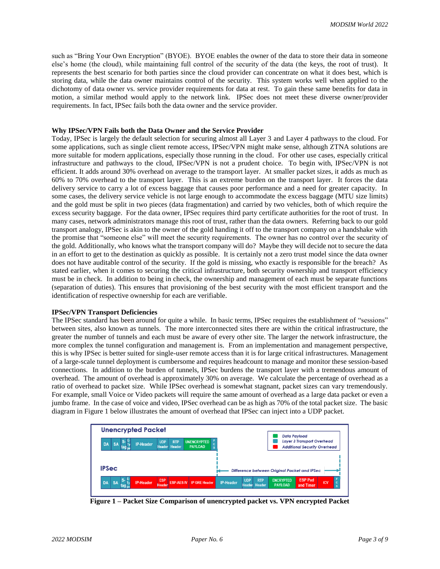such as "Bring Your Own Encryption" (BYOE). BYOE enables the owner of the data to store their data in someone else's home (the cloud), while maintaining full control of the security of the data (the keys, the root of trust). It represents the best scenario for both parties since the cloud provider can concentrate on what it does best, which is storing data, while the data owner maintains control of the security. This system works well when applied to the dichotomy of data owner vs. service provider requirements for data at rest. To gain these same benefits for data in motion, a similar method would apply to the network link. IPSec does not meet these diverse owner/provider requirements. In fact, IPSec fails both the data owner and the service provider.

# **Why IPSec/VPN Fails both the Data Owner and the Service Provider**

Today, IPSec is largely the default selection for securing almost all Layer 3 and Layer 4 pathways to the cloud. For some applications, such as single client remote access, IPSec/VPN might make sense, although ZTNA solutions are more suitable for modern applications, especially those running in the cloud. For other use cases, especially critical infrastructure and pathways to the cloud, IPSec/VPN is not a prudent choice. To begin with, IPSec/VPN is not efficient. It adds around 30% overhead on average to the transport layer. At smaller packet sizes, it adds as much as 60% to 70% overhead to the transport layer. This is an extreme burden on the transport layer. It forces the data delivery service to carry a lot of excess baggage that causes poor performance and a need for greater capacity. In some cases, the delivery service vehicle is not large enough to accommodate the excess baggage (MTU size limits) and the gold must be split in two pieces (data fragmentation) and carried by two vehicles, both of which require the excess security baggage. For the data owner, IPSec requires third party certificate authorities for the root of trust. In many cases, network administrators manage this root of trust, rather than the data owners. Referring back to our gold transport analogy, IPSec is akin to the owner of the gold handing it off to the transport company on a handshake with the promise that "someone else" will meet the security requirements. The owner has no control over the security of the gold. Additionally, who knows what the transport company will do? Maybe they will decide not to secure the data in an effort to get to the destination as quickly as possible. It is certainly not a zero trust model since the data owner does not have auditable control of the security. If the gold is missing, who exactly is responsible for the breach? As stated earlier, when it comes to securing the critical infrastructure, both security ownership and transport efficiency must be in check. In addition to being in check, the ownership and management of each must be separate functions (separation of duties). This ensures that provisioning of the best security with the most efficient transport and the identification of respective ownership for each are verifiable.

#### **IPSec/VPN Transport Deficiencies**

The IPSec standard has been around for quite a while. In basic terms, IPSec requires the establishment of "sessions" between sites, also known as tunnels. The more interconnected sites there are within the critical infrastructure, the greater the number of tunnels and each must be aware of every other site. The larger the network infrastructure, the more complex the tunnel configuration and management is. From an implementation and management perspective, this is why IPSec is better suited for single-user remote access than it is for large critical infrastructures. Management of a large-scale tunnel deployment is cumbersome and requires headcount to manage and monitor these session-based connections. In addition to the burden of tunnels, IPSec burdens the transport layer with a tremendous amount of overhead. The amount of overhead is approximately 30% on average. We calculate the percentage of overhead as a ratio of overhead to packet size. While IPSec overhead is somewhat stagnant, packet sizes can vary tremendously. For example, small Voice or Video packets will require the same amount of overhead as a large data packet or even a jumbo frame. In the case of voice and video, IPSec overhead can be as high as 70% of the total packet size. The basic diagram in Figure 1 below illustrates the amount of overhead that IPSec can inject into a UDP packet.

| <b>Unencrypted Packet</b>                  |                                                |                                                          |
|--------------------------------------------|------------------------------------------------|----------------------------------------------------------|
|                                            | <b>UNENCRYPTED</b><br><b>UDP</b><br><b>RTP</b> | <b>Data Payload</b><br><b>Layer 3 Transport Overhead</b> |
| <b>SA</b><br><b>IP-Header</b><br><b>DA</b> | c<br>Header<br><b>Header</b><br><b>PAYLOAD</b> | <b>Additional Security Overhead</b>                      |
|                                            |                                                |                                                          |
|                                            |                                                |                                                          |
| IPSec                                      |                                                | Difference between Original Packet and IPSec             |
|                                            |                                                |                                                          |

**Figure 1 – Packet Size Comparison of unencrypted packet vs. VPN encrypted Packet**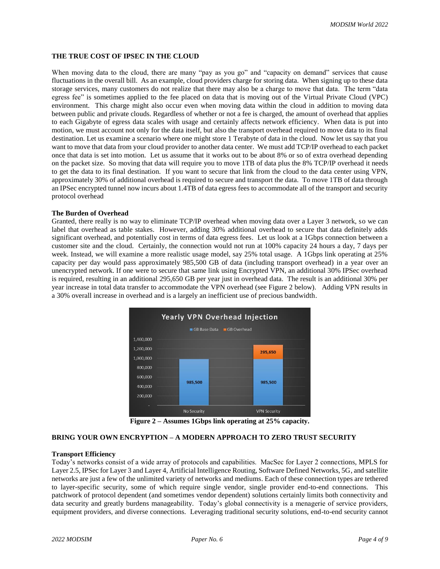## **THE TRUE COST OF IPSEC IN THE CLOUD**

When moving data to the cloud, there are many "pay as you go" and "capacity on demand" services that cause fluctuations in the overall bill. As an example, cloud providers charge for storing data. When signing up to these data storage services, many customers do not realize that there may also be a charge to move that data. The term "data egress fee" is sometimes applied to the fee placed on data that is moving out of the Virtual Private Cloud (VPC) environment. This charge might also occur even when moving data within the cloud in addition to moving data between public and private clouds. Regardless of whether or not a fee is charged, the amount of overhead that applies to each Gigabyte of egress data scales with usage and certainly affects network efficiency. When data is put into motion, we must account not only for the data itself, but also the transport overhead required to move data to its final destination. Let us examine a scenario where one might store 1 Terabyte of data in the cloud. Now let us say that you want to move that data from your cloud provider to another data center. We must add TCP/IP overhead to each packet once that data is set into motion. Let us assume that it works out to be about 8% or so of extra overhead depending on the packet size. So moving that data will require you to move 1TB of data plus the 8% TCP/IP overhead it needs to get the data to its final destination. If you want to secure that link from the cloud to the data center using VPN, approximately 30% of additional overhead is required to secure and transport the data. To move 1TB of data through an IPSec encrypted tunnel now incurs about 1.4TB of data egress fees to accommodate all of the transport and security protocol overhead

#### **The Burden of Overhead**

Granted, there really is no way to eliminate TCP/IP overhead when moving data over a Layer 3 network, so we can label that overhead as table stakes. However, adding 30% additional overhead to secure that data definitely adds significant overhead, and potentially cost in terms of data egress fees. Let us look at a 1Gbps connection between a customer site and the cloud. Certainly, the connection would not run at 100% capacity 24 hours a day, 7 days per week. Instead, we will examine a more realistic usage model, say 25% total usage. A 1Gbps link operating at 25% capacity per day would pass approximately 985,500 GB of data (including transport overhead) in a year over an unencrypted network. If one were to secure that same link using Encrypted VPN, an additional 30% IPSec overhead is required, resulting in an additional 295,650 GB per year just in overhead data. The result is an additional 30% per year increase in total data transfer to accommodate the VPN overhead (see Figure 2 below). Adding VPN results in a 30% overall increase in overhead and is a largely an inefficient use of precious bandwidth.



**Figure 2 – Assumes 1Gbps link operating at 25% capacity.**

### **BRING YOUR OWN ENCRYPTION – A MODERN APPROACH TO ZERO TRUST SECURITY**

#### **Transport Efficiency**

Today's networks consist of a wide array of protocols and capabilities. MacSec for Layer 2 connections, MPLS for Layer 2.5, IPSec for Layer 3 and Layer 4, Artificial Intelligence Routing, Software Defined Networks, 5G, and satellite networks are just a few of the unlimited variety of networks and mediums. Each of these connection types are tethered to layer-specific security, some of which require single vendor, single provider end-to-end connections. This patchwork of protocol dependent (and sometimes vendor dependent) solutions certainly limits both connectivity and data security and greatly burdens manageability. Today's global connectivity is a menagerie of service providers, equipment providers, and diverse connections. Leveraging traditional security solutions, end-to-end security cannot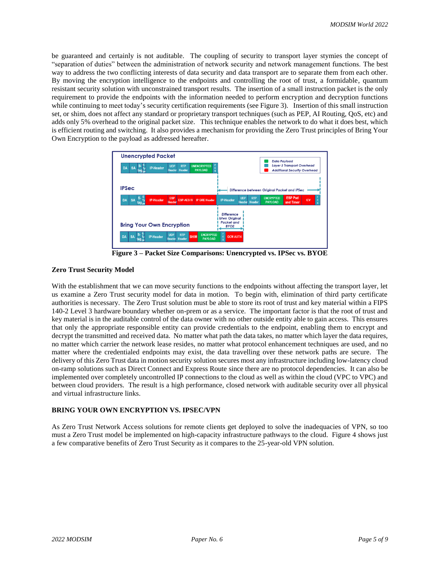be guaranteed and certainly is not auditable. The coupling of security to transport layer stymies the concept of "separation of duties" between the administration of network security and network management functions. The best way to address the two conflicting interests of data security and data transport are to separate them from each other. By moving the encryption intelligence to the endpoints and controlling the root of trust, a formidable, quantum resistant security solution with unconstrained transport results. The insertion of a small instruction packet is the only requirement to provide the endpoints with the information needed to perform encryption and decryption functions while continuing to meet today's security certification requirements (see Figure 3). Insertion of this small instruction set, or shim, does not affect any standard or proprietary transport techniques (such as PEP, AI Routing, QoS, etc) and adds only 5% overhead to the original packet size. This technique enables the network to do what it does best, which is efficient routing and switching. It also provides a mechanism for providing the Zero Trust principles of Bring Your Own Encryption to the payload as addressed hereafter.

| <b>Unencrypted Packet</b><br>$S - E$<br>tag <sub>pe</sub><br><b>UNENCRYPTED</b><br><b>UDP</b><br><b>RTP</b><br><b>SA</b><br><b>IP-Header</b><br><b>DA</b><br>c<br>Header<br><b>PAYLOAD</b><br><b>Header</b><br>s | <b>Data Payload</b><br><b>Layer 3 Transport Overhead</b><br><b>Additional Security Overhead</b>                                                                                    |
|------------------------------------------------------------------------------------------------------------------------------------------------------------------------------------------------------------------|------------------------------------------------------------------------------------------------------------------------------------------------------------------------------------|
| <b>IPSec</b>                                                                                                                                                                                                     | Difference between Original Packet and IPSec                                                                                                                                       |
| $S - E$<br>tag $\frac{E}{M}$<br><b>ESP</b><br><b>SA</b><br><b>DA</b><br><b>IP-Header</b><br><b>ESP-AES IV   IP GRE Header</b><br><b>Header</b>                                                                   | <b>ESP Pad</b><br><b>UDP</b><br><b>ENCRYPTED</b><br><b>RTP</b><br><b>IP-Header</b><br><b>ICV</b><br>$\frac{c}{s}$<br><b>Header</b><br><b>PAYLOAD</b><br><b>Header</b><br>and Timer |
| <b>Bring Your Own Encryption</b><br>$S - \frac{E}{T}$<br><b>ENCRYPTED</b><br><b>UDP</b><br><b>RTP</b>                                                                                                            | <b>Difference</b><br><b>btwn Original</b><br><b>Packet and</b><br><b>BYOE</b><br><b>F</b><br>S                                                                                     |

**Figure 3 – Packet Size Comparisons: Unencrypted vs. IPSec vs. BYOE**

## **Zero Trust Security Model**

With the establishment that we can move security functions to the endpoints without affecting the transport layer, let us examine a Zero Trust security model for data in motion. To begin with, elimination of third party certificate authorities is necessary. The Zero Trust solution must be able to store its root of trust and key material within a FIPS 140-2 Level 3 hardware boundary whether on-prem or as a service. The important factor is that the root of trust and key material is in the auditable control of the data owner with no other outside entity able to gain access. This ensures that only the appropriate responsible entity can provide credentials to the endpoint, enabling them to encrypt and decrypt the transmitted and received data. No matter what path the data takes, no matter which layer the data requires, no matter which carrier the network lease resides, no matter what protocol enhancement techniques are used, and no matter where the credentialed endpoints may exist, the data travelling over these network paths are secure. The delivery of this Zero Trust data in motion security solution secures most any infrastructure including low-latency cloud on-ramp solutions such as Direct Connect and Express Route since there are no protocol dependencies. It can also be implemented over completely uncontrolled IP connections to the cloud as well as within the cloud (VPC to VPC) and between cloud providers. The result is a high performance, closed network with auditable security over all physical and virtual infrastructure links.

### **BRING YOUR OWN ENCRYPTION VS. IPSEC/VPN**

As Zero Trust Network Access solutions for remote clients get deployed to solve the inadequacies of VPN, so too must a Zero Trust model be implemented on high-capacity infrastructure pathways to the cloud. Figure 4 shows just a few comparative benefits of Zero Trust Security as it compares to the 25-year-old VPN solution.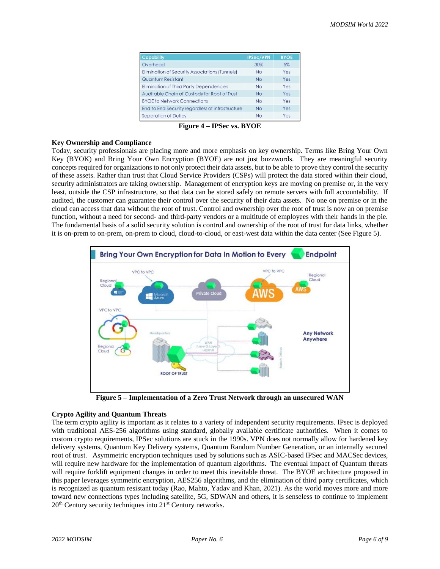| <b>Capability</b>                                     | <b>IPSec/VPN</b> | <b>BYOE</b> |
|-------------------------------------------------------|------------------|-------------|
| Overhead                                              | 30%              | 5%          |
| <b>Elimination of Security Associations (Tunnels)</b> | No               | Yes         |
| <b>Quantum Resistant</b>                              | <b>No</b>        | Yes         |
| <b>Elimination of Third Party Dependencies</b>        | No               | Yes         |
| Auditable Chain of Custody for Root of Trust          | <b>No</b>        | Yes         |
| <b>BYOE to Network Connections</b>                    | <b>No</b>        | Yes         |
| End to End Security regardless of infrastructure      | No               | Yes         |
| <b>Separation of Duties</b>                           | No               | Yes         |

**Figure 4 – IPSec vs. BYOE**

# **Key Ownership and Compliance**

Today, security professionals are placing more and more emphasis on key ownership. Terms like Bring Your Own Key (BYOK) and Bring Your Own Encryption (BYOE) are not just buzzwords. They are meaningful security concepts required for organizations to not only protect their data assets, but to be able to prove they control the security of these assets. Rather than trust that Cloud Service Providers (CSPs) will protect the data stored within their cloud, security administrators are taking ownership. Management of encryption keys are moving on premise or, in the very least, outside the CSP infrastructure, so that data can be stored safely on remote servers with full accountability. If audited, the customer can guarantee their control over the security of their data assets. No one on premise or in the cloud can access that data without the root of trust. Control and ownership over the root of trust is now an on premise function, without a need for second- and third-party vendors or a multitude of employees with their hands in the pie. The fundamental basis of a solid security solution is control and ownership of the root of trust for data links, whether it is on-prem to on-prem, on-prem to cloud, cloud-to-cloud, or east-west data within the data center (See Figure 5).



**Figure 5 – Implementation of a Zero Trust Network through an unsecured WAN**

## **Crypto Agility and Quantum Threats**

The term crypto agility is important as it relates to a variety of independent security requirements. IPsec is deployed with traditional AES-256 algorithms using standard, globally available certificate authorities. When it comes to custom crypto requirements, IPSec solutions are stuck in the 1990s. VPN does not normally allow for hardened key delivery systems, Quantum Key Delivery systems, Quantum Random Number Generation, or an internally secured root of trust. Asymmetric encryption techniques used by solutions such as ASIC-based IPSec and MACSec devices, will require new hardware for the implementation of quantum algorithms. The eventual impact of Quantum threats will require forklift equipment changes in order to meet this inevitable threat. The BYOE architecture proposed in this paper leverages symmetric encryption, AES256 algorithms, and the elimination of third party certificates, which is recognized as quantum resistant today (Rao, Mahto, Yadav and Khan, 2021). As the world moves more and more toward new connections types including satellite, 5G, SDWAN and others, it is senseless to continue to implement 20<sup>th</sup> Century security techniques into 21<sup>st</sup> Century networks.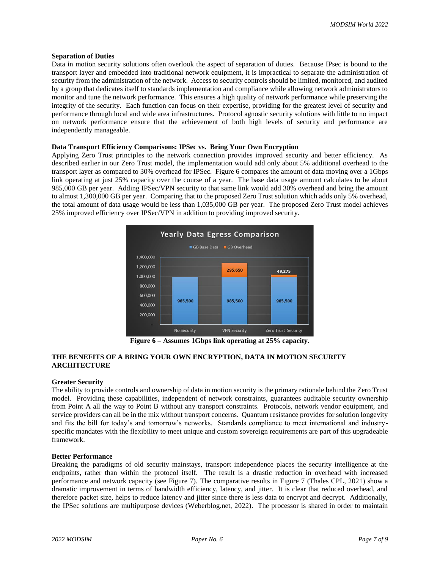#### **Separation of Duties**

Data in motion security solutions often overlook the aspect of separation of duties. Because IPsec is bound to the transport layer and embedded into traditional network equipment, it is impractical to separate the administration of security from the administration of the network. Access to security controls should be limited, monitored, and audited by a group that dedicates itself to standards implementation and compliance while allowing network administrators to monitor and tune the network performance. This ensures a high quality of network performance while preserving the integrity of the security. Each function can focus on their expertise, providing for the greatest level of security and performance through local and wide area infrastructures. Protocol agnostic security solutions with little to no impact on network performance ensure that the achievement of both high levels of security and performance are independently manageable.

### **Data Transport Efficiency Comparisons: IPSec vs. Bring Your Own Encryption**

Applying Zero Trust principles to the network connection provides improved security and better efficiency. As described earlier in our Zero Trust model, the implementation would add only about 5% additional overhead to the transport layer as compared to 30% overhead for IPSec. Figure 6 compares the amount of data moving over a 1Gbps link operating at just 25% capacity over the course of a year. The base data usage amount calculates to be about 985,000 GB per year. Adding IPSec/VPN security to that same link would add 30% overhead and bring the amount to almost 1,300,000 GB per year. Comparing that to the proposed Zero Trust solution which adds only 5% overhead, the total amount of data usage would be less than 1,035,000 GB per year. The proposed Zero Trust model achieves 25% improved efficiency over IPSec/VPN in addition to providing improved security.



**Figure 6 – Assumes 1Gbps link operating at 25% capacity.**

# **THE BENEFITS OF A BRING YOUR OWN ENCRYPTION, DATA IN MOTION SECURITY ARCHITECTURE**

## **Greater Security**

The ability to provide controls and ownership of data in motion security is the primary rationale behind the Zero Trust model. Providing these capabilities, independent of network constraints, guarantees auditable security ownership from Point A all the way to Point B without any transport constraints. Protocols, network vendor equipment, and service providers can all be in the mix without transport concerns. Quantum resistance provides for solution longevity and fits the bill for today's and tomorrow's networks. Standards compliance to meet international and industryspecific mandates with the flexibility to meet unique and custom sovereign requirements are part of this upgradeable framework.

### **Better Performance**

Breaking the paradigms of old security mainstays, transport independence places the security intelligence at the endpoints, rather than within the protocol itself. The result is a drastic reduction in overhead with increased performance and network capacity (see Figure 7). The comparative results in Figure 7 (Thales CPL, 2021) show a dramatic improvement in terms of bandwidth efficiency, latency, and jitter. It is clear that reduced overhead, and therefore packet size, helps to reduce latency and jitter since there is less data to encrypt and decrypt. Additionally, the IPSec solutions are multipurpose devices (Weberblog.net, 2022). The processor is shared in order to maintain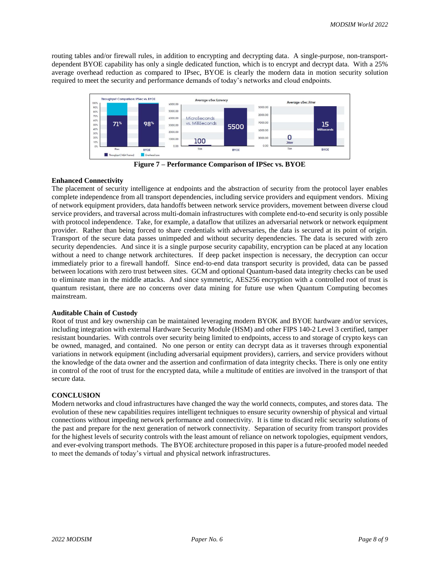routing tables and/or firewall rules, in addition to encrypting and decrypting data. A single-purpose, non-transportdependent BYOE capability has only a single dedicated function, which is to encrypt and decrypt data. With a 25% average overhead reduction as compared to IPsec, BYOE is clearly the modern data in motion security solution required to meet the security and performance demands of today's networks and cloud endpoints.



**Figure 7 – Performance Comparison of IPSec vs. BYOE**

# **Enhanced Connectivity**

The placement of security intelligence at endpoints and the abstraction of security from the protocol layer enables complete independence from all transport dependencies, including service providers and equipment vendors. Mixing of network equipment providers, data handoffs between network service providers, movement between diverse cloud service providers, and traversal across multi-domain infrastructures with complete end-to-end security is only possible with protocol independence. Take, for example, a dataflow that utilizes an adversarial network or network equipment provider. Rather than being forced to share credentials with adversaries, the data is secured at its point of origin. Transport of the secure data passes unimpeded and without security dependencies. The data is secured with zero security dependencies. And since it is a single purpose security capability, encryption can be placed at any location without a need to change network architectures. If deep packet inspection is necessary, the decryption can occur immediately prior to a firewall handoff. Since end-to-end data transport security is provided, data can be passed between locations with zero trust between sites. GCM and optional Quantum-based data integrity checks can be used to eliminate man in the middle attacks. And since symmetric, AES256 encryption with a controlled root of trust is quantum resistant, there are no concerns over data mining for future use when Quantum Computing becomes mainstream.

### **Auditable Chain of Custody**

Root of trust and key ownership can be maintained leveraging modern BYOK and BYOE hardware and/or services, including integration with external Hardware Security Module (HSM) and other FIPS 140-2 Level 3 certified, tamper resistant boundaries. With controls over security being limited to endpoints, access to and storage of crypto keys can be owned, managed, and contained. No one person or entity can decrypt data as it traverses through exponential variations in network equipment (including adversarial equipment providers), carriers, and service providers without the knowledge of the data owner and the assertion and confirmation of data integrity checks. There is only one entity in control of the root of trust for the encrypted data, while a multitude of entities are involved in the transport of that secure data.

# **CONCLUSION**

Modern networks and cloud infrastructures have changed the way the world connects, computes, and stores data. The evolution of these new capabilities requires intelligent techniques to ensure security ownership of physical and virtual connections without impeding network performance and connectivity. It is time to discard relic security solutions of the past and prepare for the next generation of network connectivity. Separation of security from transport provides for the highest levels of security controls with the least amount of reliance on network topologies, equipment vendors, and ever-evolving transport methods. The BYOE architecture proposed in this paper is a future-proofed model needed to meet the demands of today's virtual and physical network infrastructures.